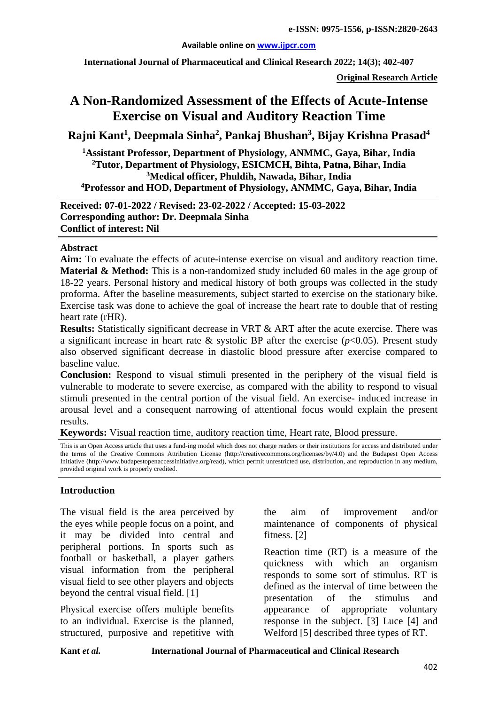#### **Available online on [www.ijpcr.com](http://www.ijpcr.com/)**

**International Journal of Pharmaceutical and Clinical Research 2022; 14(3); 402-407**

**Original Research Article**

# **A Non-Randomized Assessment of the Effects of Acute-Intense Exercise on Visual and Auditory Reaction Time**

**Rajni Kant1 , Deepmala Sinha<sup>2</sup> , Pankaj Bhushan3 , Bijay Krishna Prasad4**

**1Assistant Professor, Department of Physiology, ANMMC, Gaya, Bihar, India 2Tutor, Department of Physiology, ESICMCH, Bihta, Patna, Bihar, India 3Medical officer, Phuldih, Nawada, Bihar, India 4Professor and HOD, Department of Physiology, ANMMC, Gaya, Bihar, India**

**Received: 07-01-2022 / Revised: 23-02-2022 / Accepted: 15-03-2022 Corresponding author: Dr. Deepmala Sinha Conflict of interest: Nil**

#### **Abstract**

**Aim:** To evaluate the effects of acute-intense exercise on visual and auditory reaction time. **Material & Method:** This is a non-randomized study included 60 males in the age group of 18-22 years. Personal history and medical history of both groups was collected in the study proforma. After the baseline measurements, subject started to exercise on the stationary bike. Exercise task was done to achieve the goal of increase the heart rate to double that of resting heart rate (rHR).

**Results:** Statistically significant decrease in VRT & ART after the acute exercise. There was a significant increase in heart rate  $\&$  systolic BP after the exercise ( $p<0.05$ ). Present study also observed significant decrease in diastolic blood pressure after exercise compared to baseline value.

**Conclusion:** Respond to visual stimuli presented in the periphery of the visual field is vulnerable to moderate to severe exercise, as compared with the ability to respond to visual stimuli presented in the central portion of the visual field. An exercise- induced increase in arousal level and a consequent narrowing of attentional focus would explain the present results.

**Keywords:** Visual reaction time, auditory reaction time, Heart rate, Blood pressure.

This is an Open Access article that uses a fund-ing model which does not charge readers or their institutions for access and distributed under the terms of the Creative Commons Attribution License (http://creativecommons.org/licenses/by/4.0) and the Budapest Open Access Initiative (http://www.budapestopenaccessinitiative.org/read), which permit unrestricted use, distribution, and reproduction in any medium, provided original work is properly credited.

## **Introduction**

The visual field is the area perceived by the eyes while people focus on a point, and it may be divided into central and peripheral portions. In sports such as football or basketball, a player gathers visual information from the peripheral visual field to see other players and objects beyond the central visual field. [1]

Physical exercise offers multiple benefits to an individual. Exercise is the planned, structured, purposive and repetitive with

the aim of improvement and/or maintenance of components of physical fitness. [2]

Reaction time (RT) is a measure of the quickness with which an organism responds to some sort of stimulus. RT is defined as the interval of time between the presentation of the stimulus and appearance of appropriate voluntary response in the subject. [3] Luce [4] and Welford [5] described three types of RT.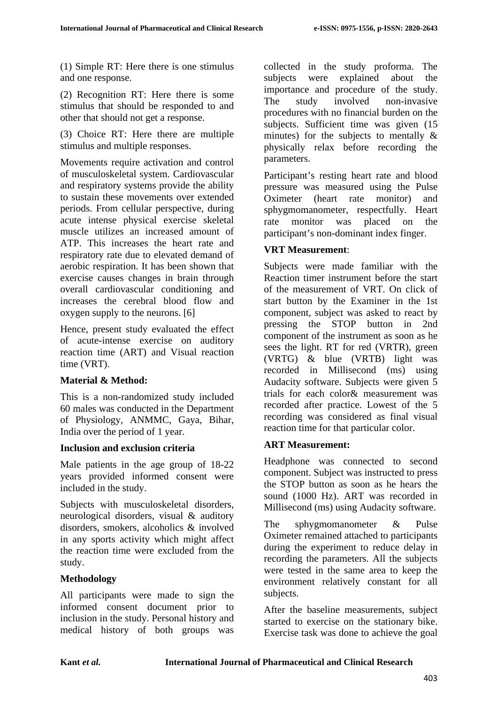(1) Simple RT: Here there is one stimulus and one response.

(2) Recognition RT: Here there is some stimulus that should be responded to and other that should not get a response.

(3) Choice RT: Here there are multiple stimulus and multiple responses.

Movements require activation and control of musculoskeletal system. Cardiovascular and respiratory systems provide the ability to sustain these movements over extended periods. From cellular perspective, during acute intense physical exercise skeletal muscle utilizes an increased amount of ATP. This increases the heart rate and respiratory rate due to elevated demand of aerobic respiration. It has been shown that exercise causes changes in brain through overall cardiovascular conditioning and increases the cerebral blood flow and oxygen supply to the neurons. [6]

Hence, present study evaluated the effect of acute-intense exercise on auditory reaction time (ART) and Visual reaction time (VRT).

## **Material & Method:**

This is a non-randomized study included 60 males was conducted in the Department of Physiology, ANMMC, Gaya, Bihar, India over the period of 1 year.

## **Inclusion and exclusion criteria**

Male patients in the age group of 18-22 years provided informed consent were included in the study.

Subjects with musculoskeletal disorders, neurological disorders, visual & auditory disorders, smokers, alcoholics & involved in any sports activity which might affect the reaction time were excluded from the study.

# **Methodology**

All participants were made to sign the informed consent document prior to inclusion in the study. Personal history and medical history of both groups was

collected in the study proforma. The subjects were explained about the importance and procedure of the study. The study involved non-invasive procedures with no financial burden on the subjects. Sufficient time was given (15 minutes) for the subjects to mentally  $\&$ physically relax before recording the parameters.

Participant's resting heart rate and blood pressure was measured using the Pulse Oximeter (heart rate monitor) and sphygmomanometer, respectfully. Heart rate monitor was placed on the participant's non-dominant index finger.

## **VRT Measurement**:

Subjects were made familiar with the Reaction timer instrument before the start of the measurement of VRT. On click of start button by the Examiner in the 1st component, subject was asked to react by pressing the STOP button in 2nd component of the instrument as soon as he sees the light. RT for red (VRTR), green (VRTG) & blue (VRTB) light was recorded in Millisecond (ms) using Audacity software. Subjects were given 5 trials for each color& measurement was recorded after practice. Lowest of the 5 recording was considered as final visual reaction time for that particular color.

## **ART Measurement:**

Headphone was connected to second component. Subject was instructed to press the STOP button as soon as he hears the sound (1000 Hz). ART was recorded in Millisecond (ms) using Audacity software.

The sphygmomanometer & Pulse Oximeter remained attached to participants during the experiment to reduce delay in recording the parameters. All the subjects were tested in the same area to keep the environment relatively constant for all subjects.

After the baseline measurements, subject started to exercise on the stationary bike. Exercise task was done to achieve the goal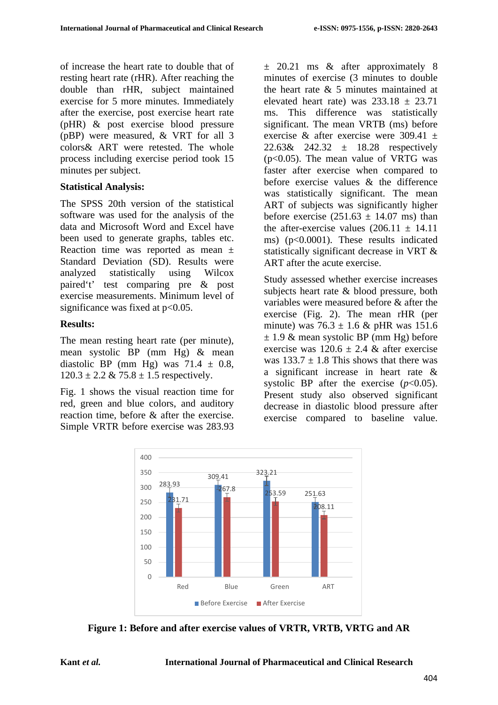of increase the heart rate to double that of resting heart rate (rHR). After reaching the double than rHR, subject maintained exercise for 5 more minutes. Immediately after the exercise, post exercise heart rate (pHR) & post exercise blood pressure (pBP) were measured, & VRT for all 3 colors& ART were retested. The whole process including exercise period took 15 minutes per subject.

#### **Statistical Analysis:**

The SPSS 20th version of the statistical software was used for the analysis of the data and Microsoft Word and Excel have been used to generate graphs, tables etc. Reaction time was reported as mean ± Standard Deviation (SD). Results were analyzed statistically using Wilcox paired't' test comparing pre & post exercise measurements. Minimum level of significance was fixed at  $p<0.05$ .

## **Results:**

The mean resting heart rate (per minute), mean systolic BP (mm Hg) & mean diastolic BP (mm Hg) was  $71.4 \pm 0.8$ ,  $120.3 \pm 2.2 \& 75.8 \pm 1.5$  respectively.

Fig. 1 shows the visual reaction time for red, green and blue colors, and auditory reaction time, before & after the exercise. Simple VRTR before exercise was 283.93

 $\pm$  20.21 ms & after approximately 8 minutes of exercise (3 minutes to double the heart rate  $\&$  5 minutes maintained at elevated heart rate) was  $233.18 \pm 23.71$ ms. This difference was statistically significant. The mean VRTB (ms) before exercise & after exercise were  $309.41 \pm$  $22.63& 242.32 \pm 18.28$  respectively (p<0.05). The mean value of VRTG was faster after exercise when compared to before exercise values & the difference was statistically significant. The mean ART of subjects was significantly higher before exercise  $(251.63 \pm 14.07 \text{ ms})$  than the after-exercise values  $(206.11 + 14.11)$ ms) (p<0.0001). These results indicated statistically significant decrease in VRT & ART after the acute exercise.

Study assessed whether exercise increases subjects heart rate & blood pressure, both variables were measured before & after the exercise (Fig. 2). The mean rHR (per minute) was  $76.3 \pm 1.6$  & pHR was 151.6  $\pm$  1.9 & mean systolic BP (mm Hg) before exercise was  $120.6 \pm 2.4$  & after exercise was  $133.7 + 1.8$  This shows that there was a significant increase in heart rate & systolic BP after the exercise  $(p<0.05)$ . Present study also observed significant decrease in diastolic blood pressure after exercise compared to baseline value.



**Figure 1: Before and after exercise values of VRTR, VRTB, VRTG and AR**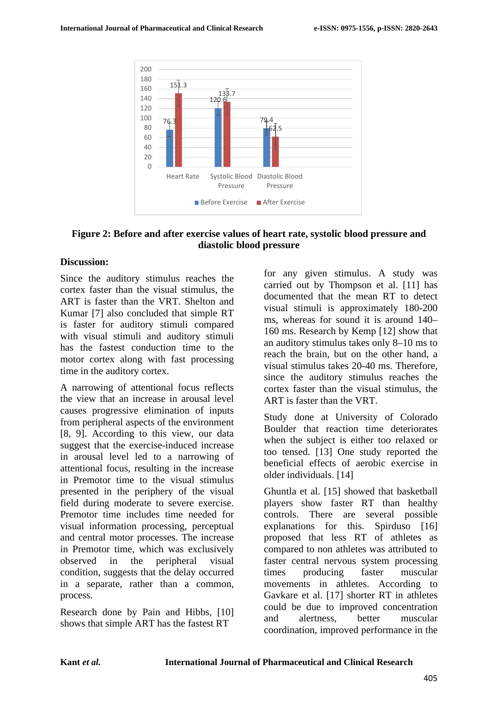

#### **Figure 2: Before and after exercise values of heart rate, systolic blood pressure and diastolic blood pressure**

#### **Discussion:**

Since the auditory stimulus reaches the cortex faster than the visual stimulus, the ART is faster than the VRT. Shelton and Kumar [7] also concluded that simple RT is faster for auditory stimuli compared with visual stimuli and auditory stimuli has the fastest conduction time to the motor cortex along with fast processing time in the auditory cortex.

A narrowing of attentional focus reflects the view that an increase in arousal level causes progressive elimination of inputs from peripheral aspects of the environment [8, 9]. According to this view, our data suggest that the exercise-induced increase in arousal level led to a narrowing of attentional focus, resulting in the increase in Premotor time to the visual stimulus presented in the periphery of the visual field during moderate to severe exercise. Premotor time includes time needed for visual information processing, perceptual and central motor processes. The increase in Premotor time, which was exclusively observed in the peripheral visual condition, suggests that the delay occurred in a separate, rather than a common, process.

Research done by Pain and Hibbs, [10] shows that simple ART has the fastest RT

for any given stimulus. A study was carried out by Thompson et al. [11] has documented that the mean RT to detect visual stimuli is approximately 180-200 ms, whereas for sound it is around 140– 160 ms. Research by Kemp [12] show that an auditory stimulus takes only 8–10 ms to reach the brain, but on the other hand, a visual stimulus takes 20-40 ms. Therefore, since the auditory stimulus reaches the cortex faster than the visual stimulus, the ART is faster than the VRT.

Study done at University of Colorado Boulder that reaction time deteriorates when the subject is either too relaxed or too tensed. [13] One study reported the beneficial effects of aerobic exercise in older individuals. [14]

Ghuntla et al. [15] showed that basketball players show faster RT than healthy controls. There are several possible explanations for this. Spirduso [16] proposed that less RT of athletes as compared to non athletes was attributed to faster central nervous system processing times producing faster muscular movements in athletes. According to Gavkare et al. [17] shorter RT in athletes could be due to improved concentration and alertness, better muscular coordination, improved performance in the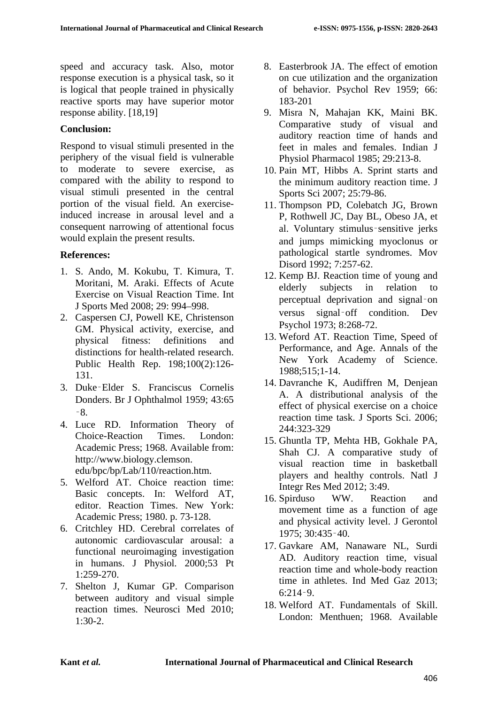speed and accuracy task. Also, motor response execution is a physical task, so it is logical that people trained in physically reactive sports may have superior motor response ability. [18,19]

#### **Conclusion:**

Respond to visual stimuli presented in the periphery of the visual field is vulnerable to moderate to severe exercise, as compared with the ability to respond to visual stimuli presented in the central portion of the visual field. An exerciseinduced increase in arousal level and a consequent narrowing of attentional focus would explain the present results.

## **References:**

- 1. S. Ando, M. Kokubu, T. Kimura, T. Moritani, M. Araki. Effects of Acute Exercise on Visual Reaction Time. Int J Sports Med 2008; 29: 994–998.
- 2. Caspersen CJ, Powell KE, Christenson GM. Physical activity, exercise, and physical fitness: definitions and distinctions for health-related research. Public Health Rep. 198;100(2):126- 131.
- 3. Duke‑Elder S. Franciscus Cornelis Donders. Br J Ophthalmol 1959; 43:65 ‑8.
- 4. Luce RD. Information Theory of Choice-Reaction Times. London: Academic Press; 1968. Available from: http://www.biology.clemson. edu/bpc/bp/Lab/110/reaction.htm.
- 5. Welford AT. Choice reaction time: Basic concepts. In: Welford AT, editor. Reaction Times. New York: Academic Press; 1980. p. 73-128.
- 6. Critchley HD. Cerebral correlates of autonomic cardiovascular arousal: a functional neuroimaging investigation in humans. J Physiol. 2000;53 Pt 1:259-270.
- 7. Shelton J, Kumar GP. Comparison between auditory and visual simple reaction times. Neurosci Med 2010;  $1.30 - 2.$
- 8. Easterbrook JA. The effect of emotion on cue utilization and the organization of behavior. Psychol Rev 1959; 66: 183-201
- 9. Misra N, Mahajan KK, Maini BK. Comparative study of visual and auditory reaction time of hands and feet in males and females. Indian J Physiol Pharmacol 1985; 29:213-8.
- 10. Pain MT, Hibbs A. Sprint starts and the minimum auditory reaction time. J Sports Sci 2007; 25:79-86.
- 11. Thompson PD, Colebatch JG, Brown P, Rothwell JC, Day BL, Obeso JA, et al. Voluntary stimulus‑sensitive jerks and jumps mimicking myoclonus or pathological startle syndromes. Mov Disord 1992; 7:257-62.
- 12. Kemp BJ. Reaction time of young and elderly subjects in relation to perceptual deprivation and signal‑on versus signal‑off condition. Dev Psychol 1973; 8:268-72.
- 13. Weford AT. Reaction Time, Speed of Performance, and Age. Annals of the New York Academy of Science. 1988;515;1-14.
- 14. Davranche K, Audiffren M, Denjean A. A distributional analysis of the effect of physical exercise on a choice reaction time task. J Sports Sci. 2006; 244:323-329
- 15. Ghuntla TP, Mehta HB, Gokhale PA, Shah CJ. A comparative study of visual reaction time in basketball players and healthy controls. Natl J Integr Res Med 2012; 3:49.
- 16. Spirduso WW. Reaction and movement time as a function of age and physical activity level. J Gerontol 1975; 30:435‑40.
- 17. Gavkare AM, Nanaware NL, Surdi AD. Auditory reaction time, visual reaction time and whole-body reaction time in athletes. Ind Med Gaz 2013;  $6:214-9$ .
- 18. Welford AT. Fundamentals of Skill. London: Menthuen; 1968. Available